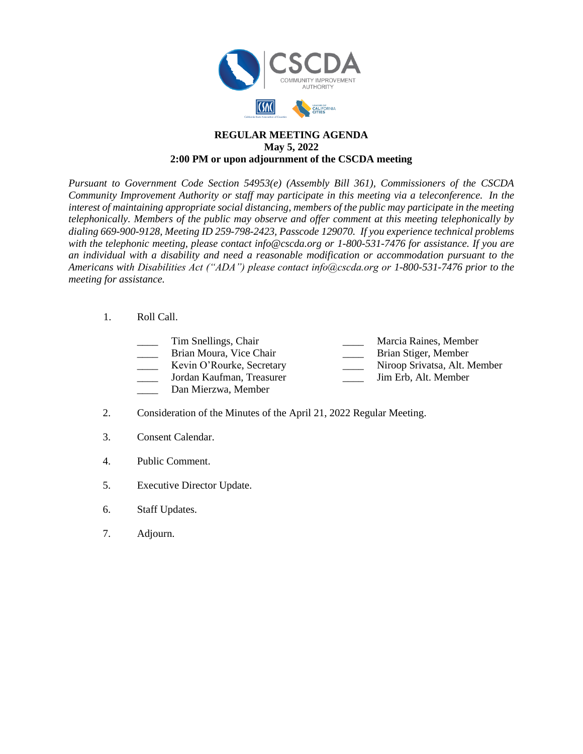

## **REGULAR MEETING AGENDA May 5, 2022 2:00 PM or upon adjournment of the CSCDA meeting**

*Pursuant to Government Code Section 54953(e) (Assembly Bill 361), Commissioners of the CSCDA Community Improvement Authority or staff may participate in this meeting via a teleconference. In the interest of maintaining appropriate social distancing, members of the public may participate in the meeting telephonically. Members of the public may observe and offer comment at this meeting telephonically by dialing 669-900-9128, Meeting ID 259-798-2423, Passcode 129070. If you experience technical problems with the telephonic meeting, please contact info@cscda.org or 1-800-531-7476 for assistance. If you are an individual with a disability and need a reasonable modification or accommodation pursuant to the Americans with Disabilities Act ("ADA") please contact info@cscda.org or 1-800-531-7476 prior to the meeting for assistance.*

## 1. Roll Call.

- 
- Brian Moura, Vice Chair **Brian Stiger**, Member
- 
- -
- \_\_\_\_ Tim Snellings, Chair \_\_\_\_ Marcia Raines, Member
	-
- Kevin O'Rourke, Secretary **Niroop Srivatsa**, Alt. Member
- \_\_\_\_ Jordan Kaufman, Treasurer \_\_\_\_ Jim Erb, Alt. Member
- \_\_\_\_ Dan Mierzwa, Member
- 2. Consideration of the Minutes of the April 21, 2022 Regular Meeting.
- 3. Consent Calendar.
- 4. Public Comment.
- 5. Executive Director Update.
- 6. Staff Updates.
- 7. Adjourn.